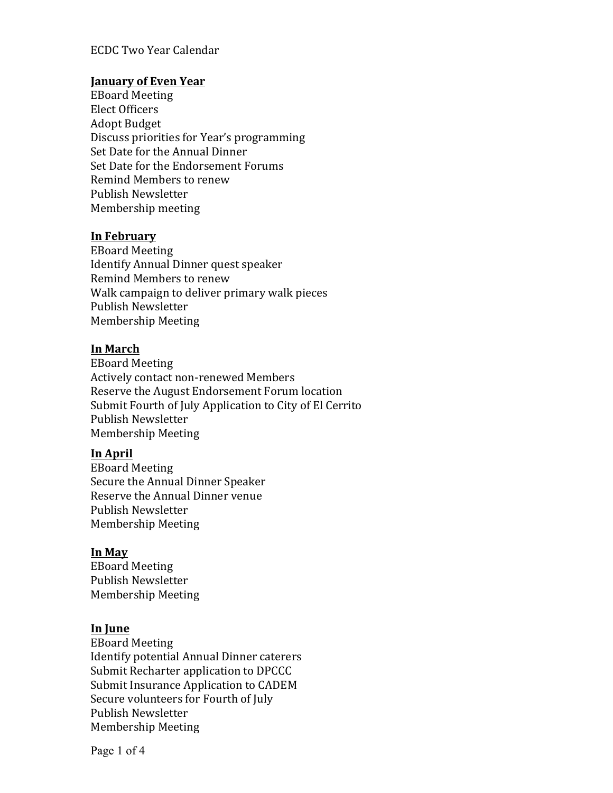### ECDC Two Year Calendar

#### **January of Even Year**

EBoard Meeting Elect Officers Adopt Budget Discuss priorities for Year's programming Set Date for the Annual Dinner Set Date for the Endorsement Forums Remind Members to renew Publish Newsletter Membership meeting

#### **In February**

EBoard Meeting Identify Annual Dinner quest speaker Remind Members to renew Walk campaign to deliver primary walk pieces Publish Newsletter Membership Meeting

### **In March**

EBoard Meeting Actively contact non-renewed Members Reserve the August Endorsement Forum location Submit Fourth of July Application to City of El Cerrito Publish Newsletter Membership Meeting

#### **In April**

EBoard Meeting Secure the Annual Dinner Speaker Reserve the Annual Dinner venue Publish Newsletter Membership Meeting

#### **In May**

EBoard Meeting Publish Newsletter Membership Meeting

#### **In June**

EBoard Meeting Identify potential Annual Dinner caterers Submit Recharter application to DPCCC Submit Insurance Application to CADEM Secure volunteers for Fourth of July Publish Newsletter Membership Meeting

Page 1 of 4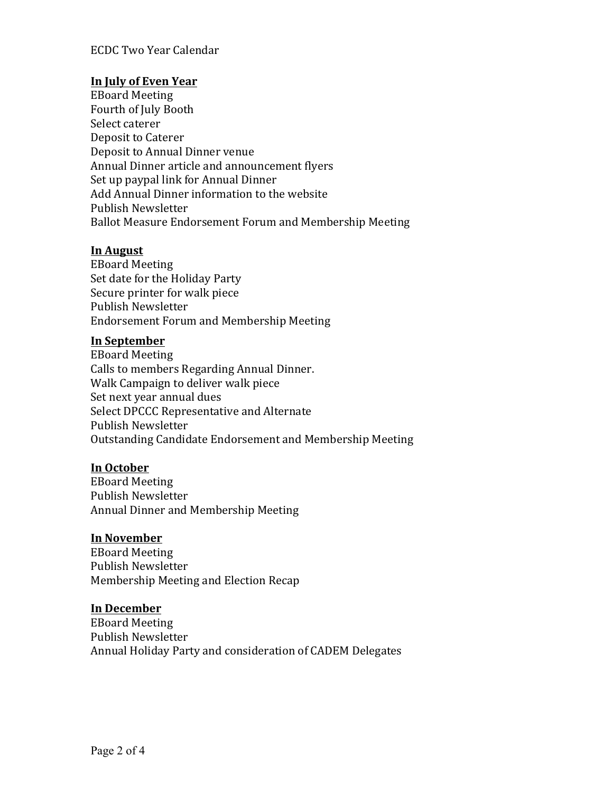# **In July of Even Year**

EBoard Meeting Fourth of July Booth Select caterer Deposit to Caterer Deposit to Annual Dinner venue Annual Dinner article and announcement flyers Set up paypal link for Annual Dinner Add Annual Dinner information to the website Publish Newsletter Ballot Measure Endorsement Forum and Membership Meeting

### **In August**

EBoard Meeting Set date for the Holiday Party Secure printer for walk piece Publish Newsletter Endorsement Forum and Membership Meeting

### **In September**

EBoard Meeting Calls to members Regarding Annual Dinner. Walk Campaign to deliver walk piece Set next year annual dues Select DPCCC Representative and Alternate Publish Newsletter Outstanding Candidate Endorsement and Membership Meeting

# **In October**

EBoard Meeting Publish Newsletter Annual Dinner and Membership Meeting

### **In November**

EBoard Meeting Publish Newsletter Membership Meeting and Election Recap

### **In December**

EBoard Meeting Publish Newsletter Annual Holiday Party and consideration of CADEM Delegates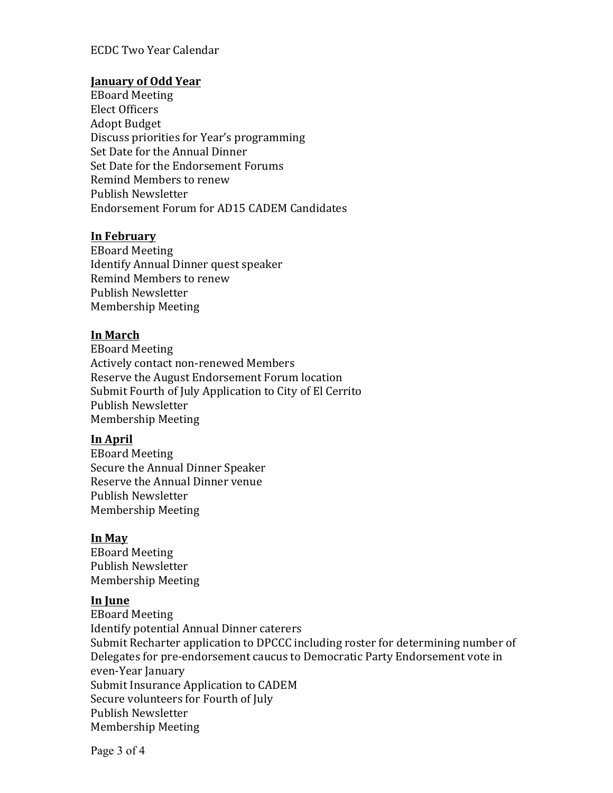### ECDC Two Year Calendar

### **January of Odd Year**

EBoard Meeting Elect Officers Adopt Budget Discuss priorities for Year's programming Set Date for the Annual Dinner Set Date for the Endorsement Forums Remind Members to renew Publish Newsletter Endorsement Forum for AD15 CADEM Candidates

### **In February**

EBoard Meeting Identify Annual Dinner quest speaker Remind Members to renew Publish Newsletter Membership Meeting

### **In March**

EBoard Meeting Actively contact non-renewed Members Reserve the August Endorsement Forum location Submit Fourth of July Application to City of El Cerrito Publish Newsletter Membership Meeting

# **In April**

EBoard Meeting Secure the Annual Dinner Speaker Reserve the Annual Dinner venue Publish Newsletter Membership Meeting

### **In May**

EBoard Meeting Publish Newsletter Membership Meeting

### **In June**

EBoard Meeting Identify potential Annual Dinner caterers Submit Recharter application to DPCCC including roster for determining number of Delegates for pre-endorsement caucus to Democratic Party Endorsement vote in even-Year January Submit Insurance Application to CADEM Secure volunteers for Fourth of July Publish Newsletter Membership Meeting

Page 3 of 4